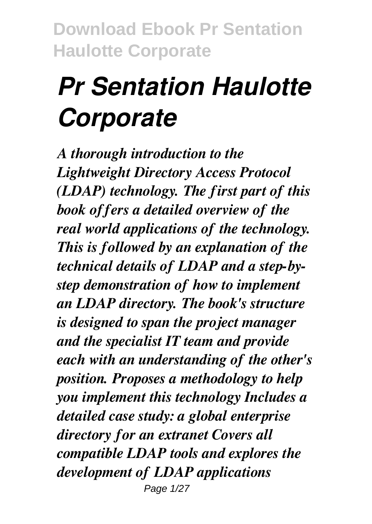# *Pr Sentation Haulotte Corporate*

*A thorough introduction to the Lightweight Directory Access Protocol (LDAP) technology. The first part of this book offers a detailed overview of the real world applications of the technology. This is followed by an explanation of the technical details of LDAP and a step-bystep demonstration of how to implement an LDAP directory. The book's structure is designed to span the project manager and the specialist IT team and provide each with an understanding of the other's position. Proposes a methodology to help you implement this technology Includes a detailed case study: a global enterprise directory for an extranet Covers all compatible LDAP tools and explores the development of LDAP applications* Page 1/27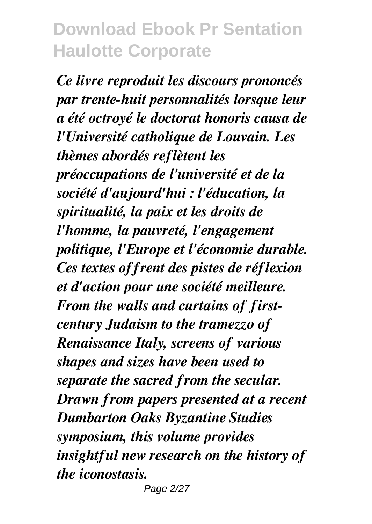*Ce livre reproduit les discours prononcés par trente-huit personnalités lorsque leur a été octroyé le doctorat honoris causa de l'Université catholique de Louvain. Les thèmes abordés reflètent les préoccupations de l'université et de la société d'aujourd'hui : l'éducation, la spiritualité, la paix et les droits de l'homme, la pauvreté, l'engagement politique, l'Europe et l'économie durable. Ces textes offrent des pistes de réflexion et d'action pour une société meilleure. From the walls and curtains of firstcentury Judaism to the tramezzo of Renaissance Italy, screens of various shapes and sizes have been used to separate the sacred from the secular. Drawn from papers presented at a recent Dumbarton Oaks Byzantine Studies symposium, this volume provides insightful new research on the history of the iconostasis.*

Page 2/27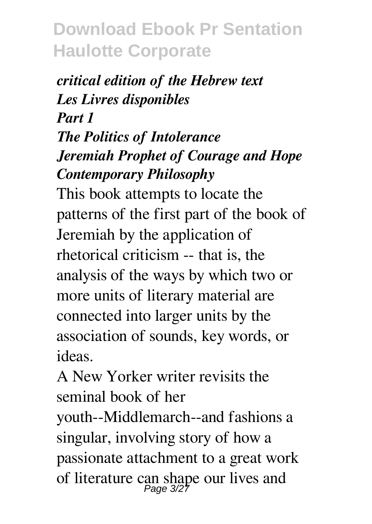#### *critical edition of the Hebrew text Les Livres disponibles Part 1 The Politics of Intolerance Jeremiah Prophet of Courage and Hope Contemporary Philosophy*

This book attempts to locate the patterns of the first part of the book of Jeremiah by the application of rhetorical criticism -- that is, the analysis of the ways by which two or more units of literary material are connected into larger units by the association of sounds, key words, or ideas.

A New Yorker writer revisits the seminal book of her youth--Middlemarch--and fashions a singular, involving story of how a passionate attachment to a great work of literature can shape our lives and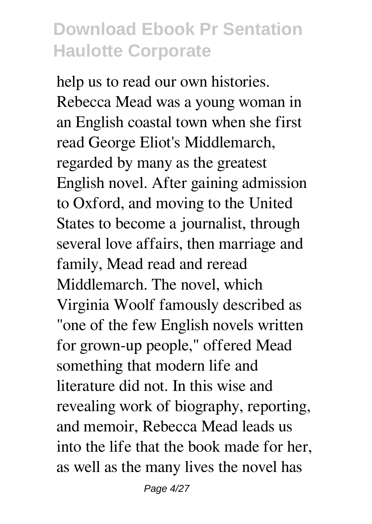help us to read our own histories. Rebecca Mead was a young woman in an English coastal town when she first read George Eliot's Middlemarch, regarded by many as the greatest English novel. After gaining admission to Oxford, and moving to the United States to become a journalist, through several love affairs, then marriage and family, Mead read and reread Middlemarch. The novel, which Virginia Woolf famously described as "one of the few English novels written for grown-up people," offered Mead something that modern life and literature did not. In this wise and revealing work of biography, reporting, and memoir, Rebecca Mead leads us into the life that the book made for her, as well as the many lives the novel has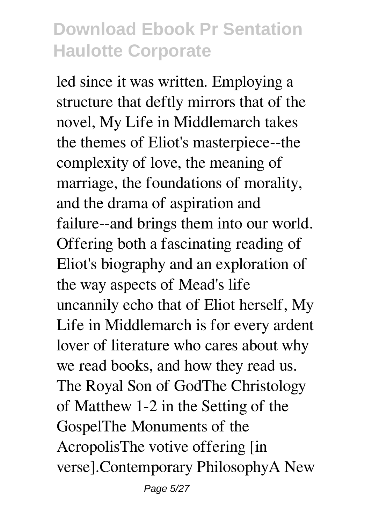led since it was written. Employing a structure that deftly mirrors that of the novel, My Life in Middlemarch takes the themes of Eliot's masterpiece--the complexity of love, the meaning of marriage, the foundations of morality, and the drama of aspiration and failure--and brings them into our world. Offering both a fascinating reading of Eliot's biography and an exploration of the way aspects of Mead's life uncannily echo that of Eliot herself, My Life in Middlemarch is for every ardent lover of literature who cares about why we read books, and how they read us. The Royal Son of GodThe Christology of Matthew 1-2 in the Setting of the GospelThe Monuments of the AcropolisThe votive offering [in verse].Contemporary PhilosophyA New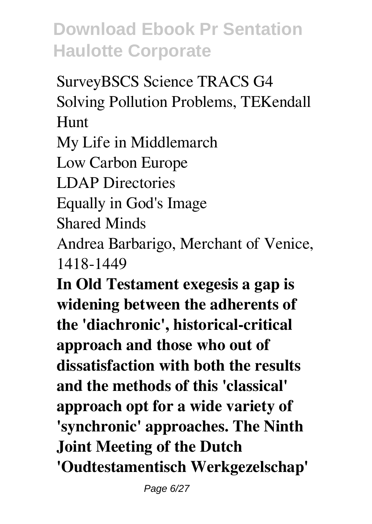SurveyBSCS Science TRACS G4 Solving Pollution Problems, TEKendall Hunt My Life in Middlemarch Low Carbon Europe LDAP Directories Equally in God's Image Shared Minds Andrea Barbarigo, Merchant of Venice, 1418-1449 **In Old Testament exegesis a gap is widening between the adherents of**

**the 'diachronic', historical-critical approach and those who out of dissatisfaction with both the results and the methods of this 'classical' approach opt for a wide variety of 'synchronic' approaches. The Ninth Joint Meeting of the Dutch 'Oudtestamentisch Werkgezelschap'**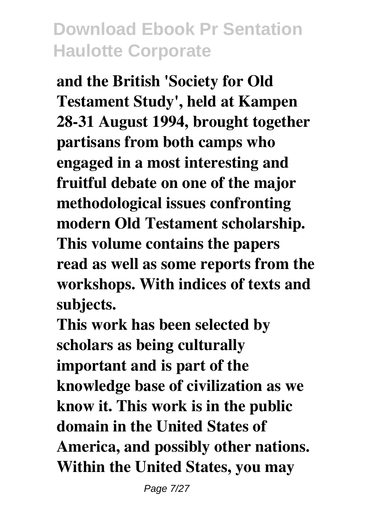**and the British 'Society for Old Testament Study', held at Kampen 28-31 August 1994, brought together partisans from both camps who engaged in a most interesting and fruitful debate on one of the major methodological issues confronting modern Old Testament scholarship. This volume contains the papers read as well as some reports from the workshops. With indices of texts and subjects.**

**This work has been selected by scholars as being culturally important and is part of the knowledge base of civilization as we know it. This work is in the public domain in the United States of America, and possibly other nations. Within the United States, you may**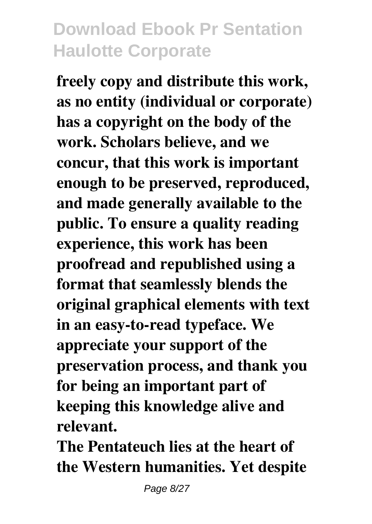**freely copy and distribute this work, as no entity (individual or corporate) has a copyright on the body of the work. Scholars believe, and we concur, that this work is important enough to be preserved, reproduced, and made generally available to the public. To ensure a quality reading experience, this work has been proofread and republished using a format that seamlessly blends the original graphical elements with text in an easy-to-read typeface. We appreciate your support of the preservation process, and thank you for being an important part of keeping this knowledge alive and relevant.**

**The Pentateuch lies at the heart of the Western humanities. Yet despite**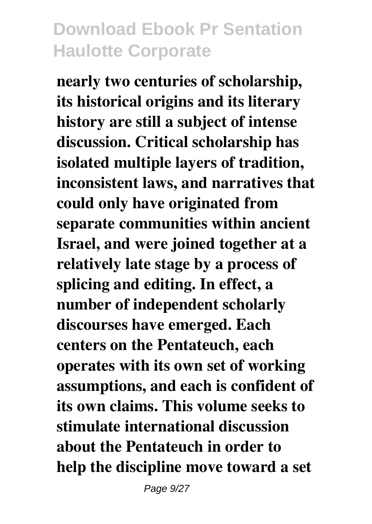**nearly two centuries of scholarship, its historical origins and its literary history are still a subject of intense discussion. Critical scholarship has isolated multiple layers of tradition, inconsistent laws, and narratives that could only have originated from separate communities within ancient Israel, and were joined together at a relatively late stage by a process of splicing and editing. In effect, a number of independent scholarly discourses have emerged. Each centers on the Pentateuch, each operates with its own set of working assumptions, and each is confident of its own claims. This volume seeks to stimulate international discussion about the Pentateuch in order to help the discipline move toward a set**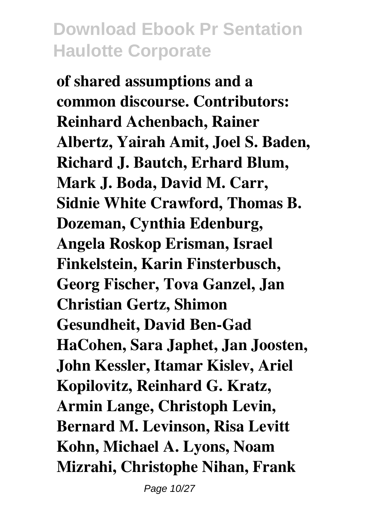**of shared assumptions and a common discourse. Contributors: Reinhard Achenbach, Rainer Albertz, Yairah Amit, Joel S. Baden, Richard J. Bautch, Erhard Blum, Mark J. Boda, David M. Carr, Sidnie White Crawford, Thomas B. Dozeman, Cynthia Edenburg, Angela Roskop Erisman, Israel Finkelstein, Karin Finsterbusch, Georg Fischer, Tova Ganzel, Jan Christian Gertz, Shimon Gesundheit, David Ben-Gad HaCohen, Sara Japhet, Jan Joosten, John Kessler, Itamar Kislev, Ariel Kopilovitz, Reinhard G. Kratz, Armin Lange, Christoph Levin, Bernard M. Levinson, Risa Levitt Kohn, Michael A. Lyons, Noam Mizrahi, Christophe Nihan, Frank**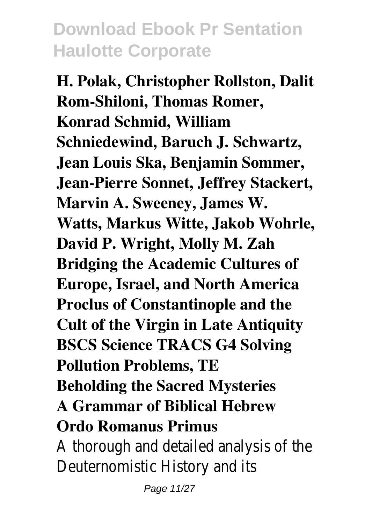**H. Polak, Christopher Rollston, Dalit Rom-Shiloni, Thomas Romer, Konrad Schmid, William Schniedewind, Baruch J. Schwartz, Jean Louis Ska, Benjamin Sommer, Jean-Pierre Sonnet, Jeffrey Stackert, Marvin A. Sweeney, James W. Watts, Markus Witte, Jakob Wohrle, David P. Wright, Molly M. Zah Bridging the Academic Cultures of Europe, Israel, and North America Proclus of Constantinople and the Cult of the Virgin in Late Antiquity BSCS Science TRACS G4 Solving Pollution Problems, TE Beholding the Sacred Mysteries A Grammar of Biblical Hebrew Ordo Romanus Primus** A thorough and detailed analysis of the

Deuternomistic History and its Page 11/27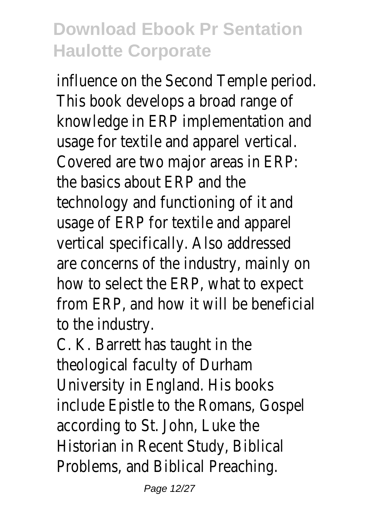influence on the Second Temple period. This book develops a broad range of knowledge in ERP implementation and usage for textile and apparel vertical. Covered are two major areas in ERP: the basics about ERP and the technology and functioning of it and usage of ERP for textile and apparel vertical specifically. Also addressed are concerns of the industry, mainly on how to select the ERP, what to expect from ERP, and how it will be beneficial to the industry.

C. K. Barrett has taught in the theological faculty of Durham University in England. His books include Epistle to the Romans, Gospel according to St. John, Luke the Historian in Recent Study, Biblical Problems, and Biblical Preaching.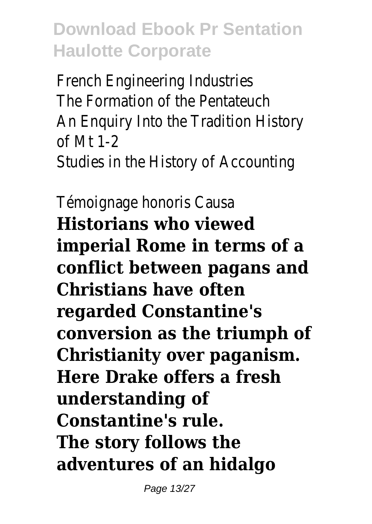French Engineering Industries The Formation of the Pentateuch An Enquiry Into the Tradition History of Mt 1-2 Studies in the History of Accounting

Témoignage honoris Causa **Historians who viewed imperial Rome in terms of a conflict between pagans and Christians have often regarded Constantine's conversion as the triumph of Christianity over paganism. Here Drake offers a fresh understanding of Constantine's rule. The story follows the adventures of an hidalgo**

Page 13/27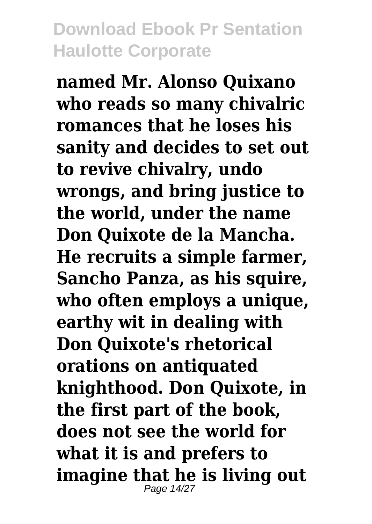**named Mr. Alonso Quixano who reads so many chivalric romances that he loses his sanity and decides to set out to revive chivalry, undo wrongs, and bring justice to the world, under the name Don Quixote de la Mancha. He recruits a simple farmer, Sancho Panza, as his squire, who often employs a unique, earthy wit in dealing with Don Quixote's rhetorical orations on antiquated knighthood. Don Quixote, in the first part of the book, does not see the world for what it is and prefers to imagine that he is living out** Page 14/27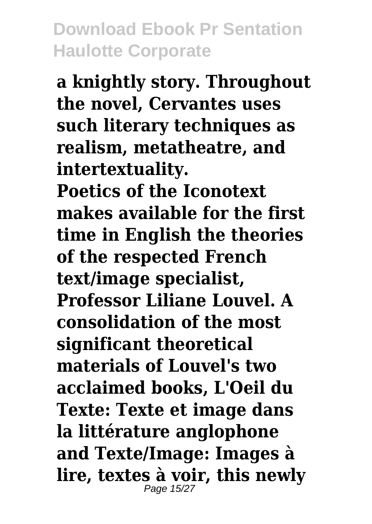**a knightly story. Throughout the novel, Cervantes uses such literary techniques as realism, metatheatre, and intertextuality.**

**Poetics of the Iconotext makes available for the first time in English the theories of the respected French text/image specialist, Professor Liliane Louvel. A consolidation of the most significant theoretical materials of Louvel's two acclaimed books, L'Oeil du Texte: Texte et image dans la littérature anglophone and Texte/Image: Images à lire, textes à voir, this newly** Page 15/27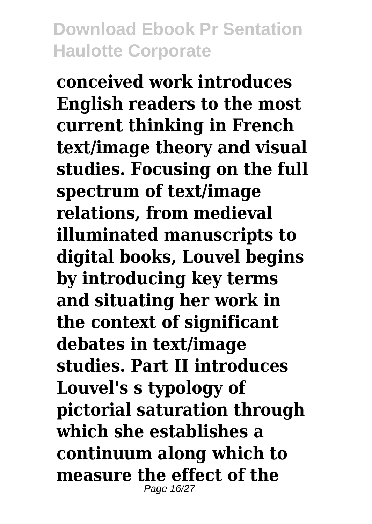**conceived work introduces English readers to the most current thinking in French text/image theory and visual studies. Focusing on the full spectrum of text/image relations, from medieval illuminated manuscripts to digital books, Louvel begins by introducing key terms and situating her work in the context of significant debates in text/image studies. Part II introduces Louvel's s typology of pictorial saturation through which she establishes a continuum along which to measure the effect of the** Page 16/27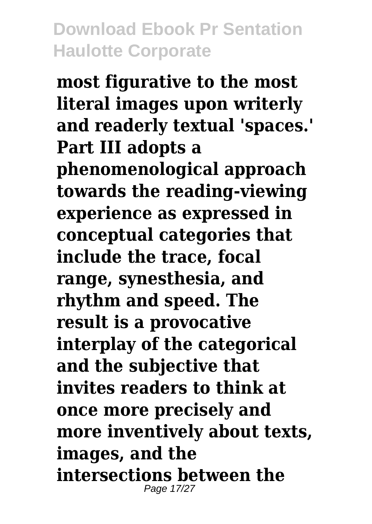**most figurative to the most literal images upon writerly and readerly textual 'spaces.' Part III adopts a phenomenological approach towards the reading-viewing experience as expressed in conceptual categories that include the trace, focal range, synesthesia, and rhythm and speed. The result is a provocative interplay of the categorical and the subjective that invites readers to think at once more precisely and more inventively about texts, images, and the intersections between the** Page 17/27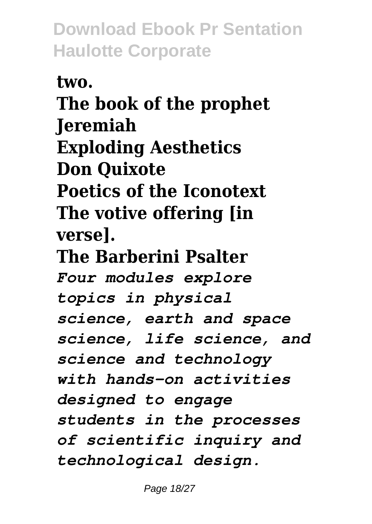**two. The book of the prophet Jeremiah Exploding Aesthetics Don Quixote Poetics of the Iconotext The votive offering [in verse]. The Barberini Psalter** *Four modules explore topics in physical science, earth and space science, life science, and science and technology with hands-on activities designed to engage students in the processes of scientific inquiry and technological design.*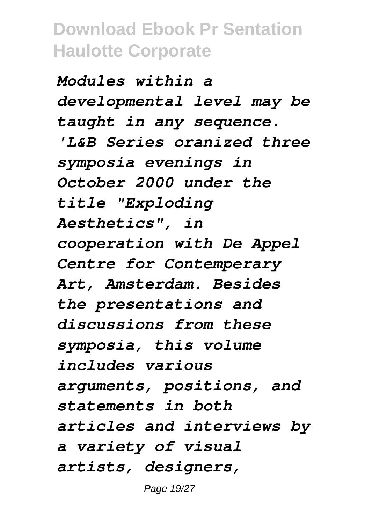*Modules within a developmental level may be taught in any sequence. 'L&B Series oranized three symposia evenings in October 2000 under the title "Exploding Aesthetics", in cooperation with De Appel Centre for Contemperary Art, Amsterdam. Besides the presentations and discussions from these symposia, this volume includes various arguments, positions, and statements in both articles and interviews by a variety of visual artists, designers,*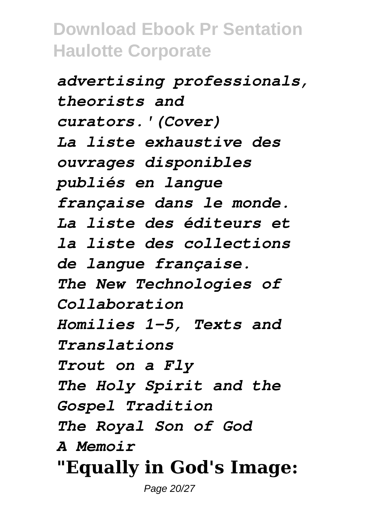*advertising professionals, theorists and curators.'(Cover) La liste exhaustive des ouvrages disponibles publiés en langue française dans le monde. La liste des éditeurs et la liste des collections de langue française. The New Technologies of Collaboration Homilies 1-5, Texts and Translations Trout on a Fly The Holy Spirit and the Gospel Tradition The Royal Son of God A Memoir* **"Equally in God's Image:**

Page 20/27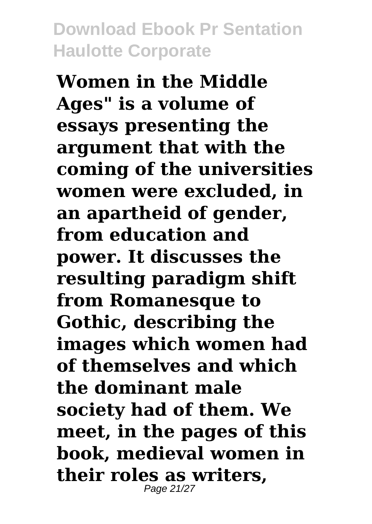**Women in the Middle Ages" is a volume of essays presenting the argument that with the coming of the universities women were excluded, in an apartheid of gender, from education and power. It discusses the resulting paradigm shift from Romanesque to Gothic, describing the images which women had of themselves and which the dominant male society had of them. We meet, in the pages of this book, medieval women in their roles as writers,** Page 21/27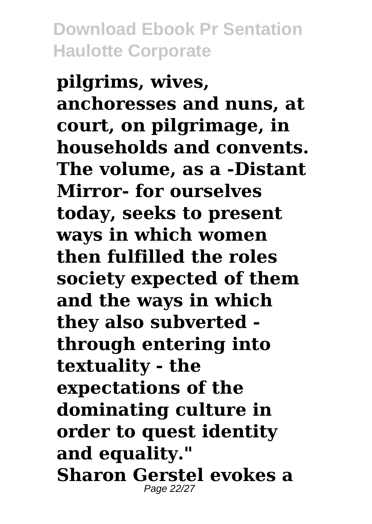**pilgrims, wives, anchoresses and nuns, at court, on pilgrimage, in households and convents. The volume, as a -Distant Mirror- for ourselves today, seeks to present ways in which women then fulfilled the roles society expected of them and the ways in which they also subverted through entering into textuality - the expectations of the dominating culture in order to quest identity and equality." Sharon Gerstel evokes a** Page 22/27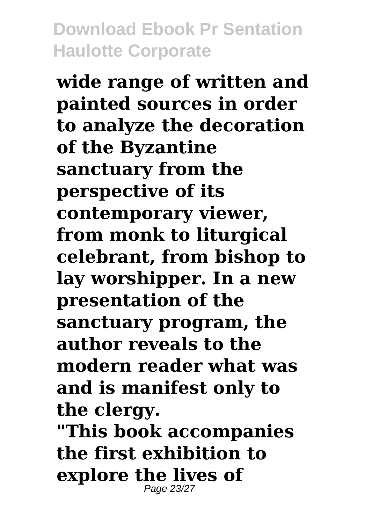**wide range of written and painted sources in order to analyze the decoration of the Byzantine sanctuary from the perspective of its contemporary viewer, from monk to liturgical celebrant, from bishop to lay worshipper. In a new presentation of the sanctuary program, the author reveals to the modern reader what was and is manifest only to the clergy.**

**"This book accompanies the first exhibition to explore the lives of** Page 23/27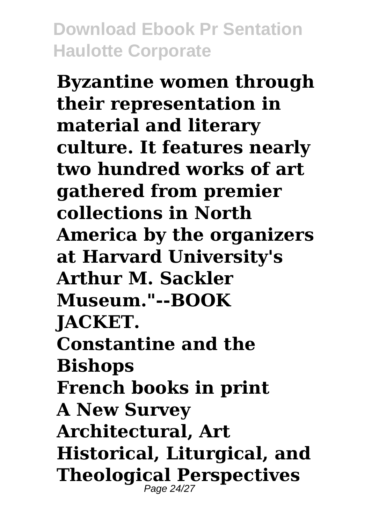**Byzantine women through their representation in material and literary culture. It features nearly two hundred works of art gathered from premier collections in North America by the organizers at Harvard University's Arthur M. Sackler Museum."--BOOK JACKET. Constantine and the Bishops French books in print A New Survey Architectural, Art Historical, Liturgical, and Theological Perspectives** Page 24/27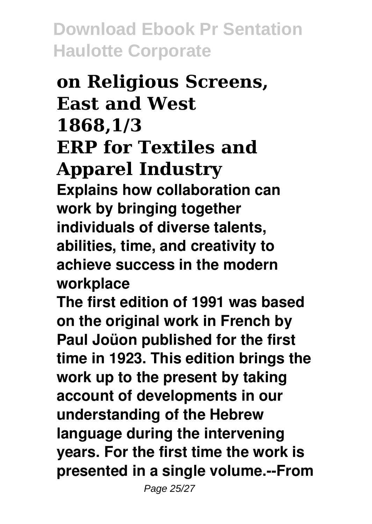#### **on Religious Screens, East and West 1868,1/3 ERP for Textiles and Apparel Industry Explains how collaboration can work by bringing together individuals of diverse talents, abilities, time, and creativity to achieve success in the modern workplace**

**The first edition of 1991 was based on the original work in French by Paul Joüon published for the first time in 1923. This edition brings the work up to the present by taking account of developments in our understanding of the Hebrew language during the intervening years. For the first time the work is presented in a single volume.--From**

Page 25/27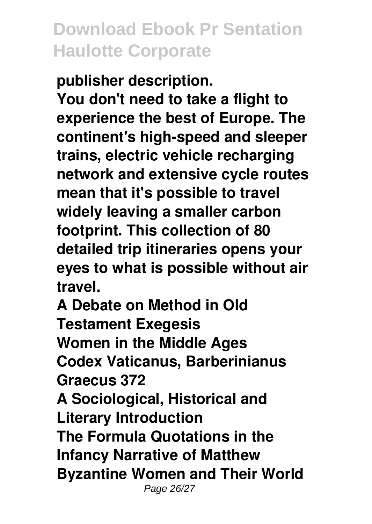**publisher description.**

**You don't need to take a flight to experience the best of Europe. The continent's high-speed and sleeper trains, electric vehicle recharging network and extensive cycle routes mean that it's possible to travel widely leaving a smaller carbon footprint. This collection of 80 detailed trip itineraries opens your eyes to what is possible without air travel.**

**A Debate on Method in Old Testament Exegesis Women in the Middle Ages Codex Vaticanus, Barberinianus Graecus 372 A Sociological, Historical and Literary Introduction The Formula Quotations in the Infancy Narrative of Matthew Byzantine Women and Their World** Page 26/27